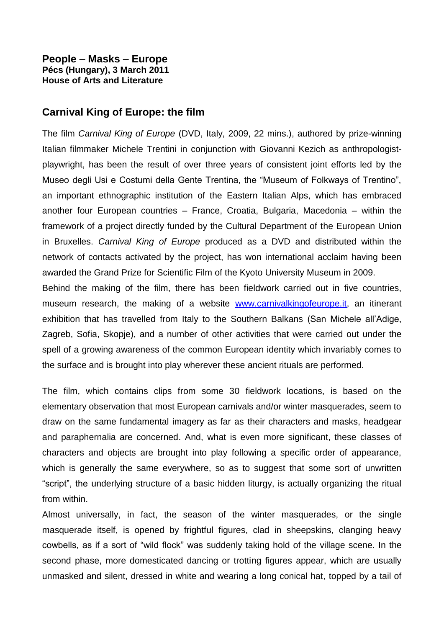## **People – Masks – Europe Pécs (Hungary), 3 March 2011 House of Arts and Literature**

## **Carnival King of Europe: the film**

The film *Carnival King of Europe* (DVD, Italy, 2009, 22 mins.), authored by prize-winning Italian filmmaker Michele Trentini in conjunction with Giovanni Kezich as anthropologistplaywright, has been the result of over three years of consistent joint efforts led by the Museo degli Usi e Costumi della Gente Trentina, the "Museum of Folkways of Trentino", an important ethnographic institution of the Eastern Italian Alps, which has embraced another four European countries – France, Croatia, Bulgaria, Macedonia – within the framework of a project directly funded by the Cultural Department of the European Union in Bruxelles. *Carnival King of Europe* produced as a DVD and distributed within the network of contacts activated by the project, has won international acclaim having been awarded the Grand Prize for Scientific Film of the Kyoto University Museum in 2009.

Behind the making of the film, there has been fieldwork carried out in five countries, museum research, the making of a website [www.carnivalkingofeurope.it,](http://www.carnivalkingofeurope.it/) an itinerant exhibition that has travelled from Italy to the Southern Balkans (San Michele all'Adige, Zagreb, Sofia, Skopje), and a number of other activities that were carried out under the spell of a growing awareness of the common European identity which invariably comes to the surface and is brought into play wherever these ancient rituals are performed.

The film, which contains clips from some 30 fieldwork locations, is based on the elementary observation that most European carnivals and/or winter masquerades, seem to draw on the same fundamental imagery as far as their characters and masks, headgear and paraphernalia are concerned. And, what is even more significant, these classes of characters and objects are brought into play following a specific order of appearance, which is generally the same everywhere, so as to suggest that some sort of unwritten "script", the underlying structure of a basic hidden liturgy, is actually organizing the ritual from within.

Almost universally, in fact, the season of the winter masquerades, or the single masquerade itself, is opened by frightful figures, clad in sheepskins, clanging heavy cowbells, as if a sort of "wild flock" was suddenly taking hold of the village scene. In the second phase, more domesticated dancing or trotting figures appear, which are usually unmasked and silent, dressed in white and wearing a long conical hat, topped by a tail of